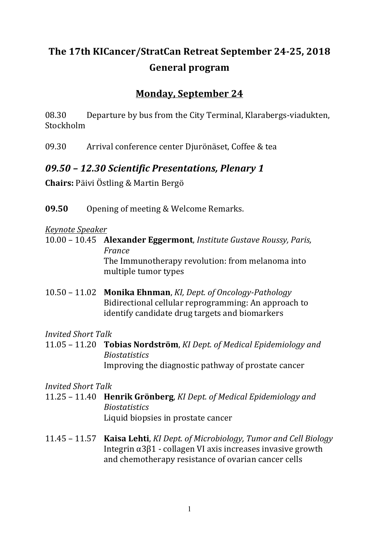# The 17th KICancer/StratCan Retreat September 24-25, 2018 **General program**

## **Monday, September 24**

08.30 Departure by bus from the City Terminal, Klarabergs-viadukten, Stockholm

09.30 Arrival conference center Djurönäset, Coffee & tea

## *09.50 – 12.30 Scientific Presentations, Plenary 1*

**Chairs:** Päivi Östling & Martin Bergö

**09.50** Opening of meeting & Welcome Remarks.

#### *Keynote Speaker*

10.00 - 10.45 **Alexander Eggermont**, *Institute Gustave Roussy, Paris, France* The Immunotherapy revolution: from melanoma into multiple tumor types

10.50 – 11.02 **Monika Ehnman**, *KI, Dept. of Oncology-Pathology* Bidirectional cellular reprogramming: An approach to identify candidate drug targets and biomarkers

#### *Invited Short Talk*

11.05 – 11.20 **Tobias Nordström**, *KI Dept. of Medical Epidemiology and Biostatistics* Improving the diagnostic pathway of prostate cancer

*Invited Short Talk*

- 11.25 11.40 **Henrik Grönberg**, *KI Dept. of Medical Epidemiology and Biostatistics* Liquid biopsies in prostate cancer
- 11.45 11.57 **Kaisa Lehti**, *KI Dept. of Microbiology, Tumor and Cell Biology* Integrin  $α3β1$  - collagen VI axis increases invasive growth and chemotherapy resistance of ovarian cancer cells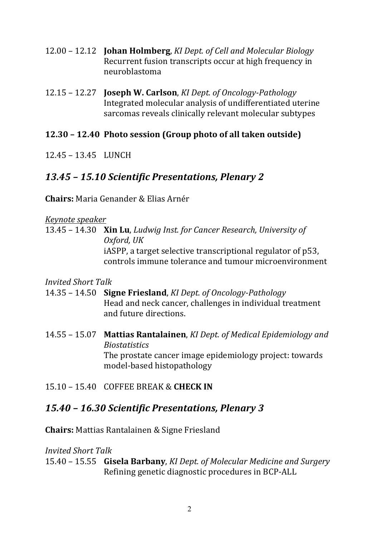- 12.00 – 12.12 **Johan Holmberg**, *KI Dept. of Cell and Molecular Biology* Recurrent fusion transcripts occur at high frequency in neuroblastoma
- 12.15 – 12.27 **Joseph W. Carlson**, *KI Dept. of Oncology-Pathology* Integrated molecular analysis of undifferentiated uterine sarcomas reveals clinically relevant molecular subtypes

#### **12.30 – 12.40 Photo session (Group photo of all taken outside)**

12.45 – 13.45 LUNCH

## *13.45 – 15.10 Scientific Presentations, Plenary 2*

**Chairs:** Maria Genander & Elias Arnér

*Keynote speaker* 

13.45 – 14.30 **Xin Lu**, *Ludwig Inst. for Cancer Research, University of Oxford, UK* iASPP, a target selective transcriptional regulator of p53, controls immune tolerance and tumour microenvironment

*Invited Short Talk*

- 14.35 – 14.50 **Signe Friesland**, *KI Dept. of Oncology-Pathology* Head and neck cancer, challenges in individual treatment and future directions.
- 14.55 15.07 Mattias Rantalainen, *KI Dept. of Medical Epidemiology and Biostatistics* The prostate cancer image epidemiology project: towards model-based histopathology
- 15.10 – 15.40 COFFEE BREAK & **CHECK IN**

#### *15.40 – 16.30 Scientific Presentations, Plenary 3*

**Chairs:** Mattias Rantalainen & Signe Friesland

*Invited Short Talk*

15.40 – 15.55 **Gisela Barbany**, *KI Dept. of Molecular Medicine and Surgery* Refining genetic diagnostic procedures in BCP-ALL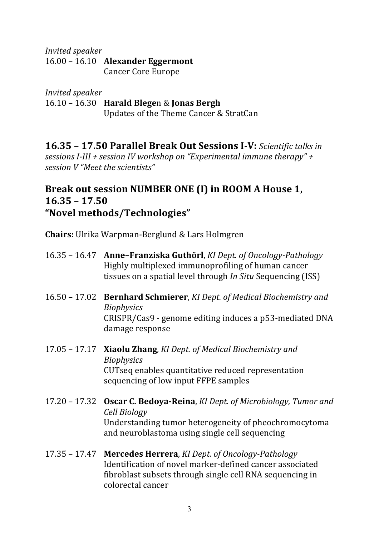*Invited speaker* 16.00 - 16.10 **Alexander Eggermont** Cancer Core Europe

*Invited speaker* 16.10 – 16.30 **Harald Blege**n & **Jonas Bergh** Updates of the Theme Cancer & StratCan

**16.35 - 17.50 Parallel Break Out Sessions I-V:** Scientific talks in *sessions I-III* + *session IV* workshop on "Experimental immune therapy" + *session V "Meet the scientists"* 

## Break out session NUMBER ONE (I) in ROOM A House 1, **16.35 – 17.50 "Novel methods/Technologies"**

**Chairs:** Ulrika Warpman-Berglund & Lars Holmgren

- 16.35 16.47 **Anne-Franziska Guthörl**, *KI Dept. of Oncology-Pathology* Highly multiplexed immunoprofiling of human cancer tissues on a spatial level through *In Situ* Sequencing (ISS)
- 16.50 – 17.02 **Bernhard Schmierer**, *KI Dept. of Medical Biochemistry and Biophysics* CRISPR/Cas9 - genome editing induces a p53-mediated DNA damage response
- 17.05 17.17 **Xiaolu Zhang**, *KI Dept. of Medical Biochemistry and Biophysics*  CUTseq enables quantitative reduced representation sequencing of low input FFPE samples
- 17.20 – 17.32 **Oscar C. Bedoya-Reina**, *KI Dept. of Microbiology, Tumor and Cell Biology* Understanding tumor heterogeneity of pheochromocytoma and neuroblastoma using single cell sequencing
- 17.35 17.47 **Mercedes Herrera**, *KI Dept. of Oncology-Pathology* Identification of novel marker-defined cancer associated fibroblast subsets through single cell RNA sequencing in colorectal cancer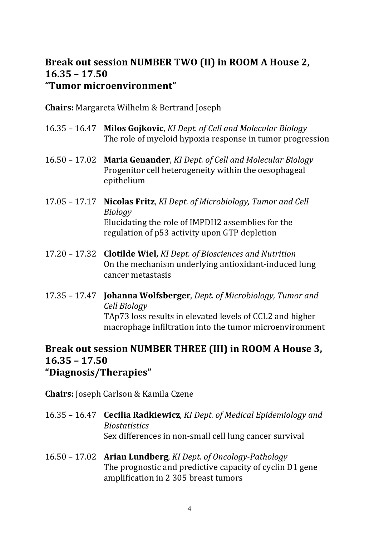#### Break out session NUMBER TWO (II) in ROOM A House 2, **16.35 – 17.50 "Tumor microenvironment"**

**Chairs:** Margareta Wilhelm & Bertrand Joseph

- 16.35 16.47 **Milos Gojkovic**, *KI Dept. of Cell and Molecular Biology* The role of myeloid hypoxia response in tumor progression
- 16.50 17.02 Maria Genander, *KI Dept. of Cell and Molecular Biology* Progenitor cell heterogeneity within the oesophageal epithelium
- 17.05 17.17 **Nicolas Fritz**, *KI Dept. of Microbiology, Tumor and Cell Biology* Elucidating the role of IMPDH2 assemblies for the regulation of p53 activity upon GTP depletion
- 17.20 – 17.32 **Clotilde Wiel,** *KI Dept. of Biosciences and Nutrition* On the mechanism underlying antioxidant-induced lung cancer metastasis
- 17.35 17.47 **Johanna Wolfsberger**, *Dept. of Microbiology, Tumor and Cell Biology* TAp73 loss results in elevated levels of CCL2 and higher macrophage infiltration into the tumor microenvironment

#### Break out session NUMBER THREE (III) in ROOM A House 3, **16.35 – 17.50 "Diagnosis/Therapies"**

**Chairs:** Joseph Carlson & Kamila Czene

- 16.35 16.47 **Cecilia Radkiewicz**, *KI Dept. of Medical Epidemiology and Biostatistics* Sex differences in non-small cell lung cancer survival
- 16.50 – 17.02 **Arian Lundberg**, *KI Dept. of Oncology-Pathology* The prognostic and predictive capacity of cyclin D1 gene amplification in 2 305 breast tumors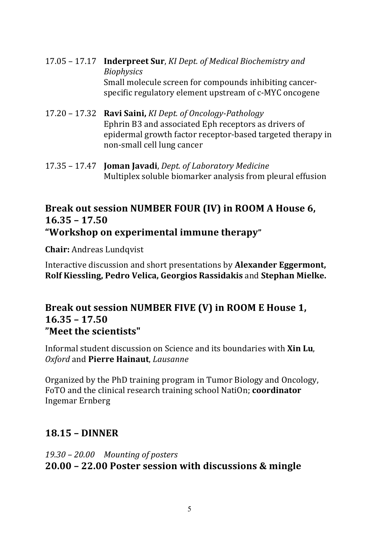- 17.05 17.17 **Inderpreet Sur**, *KI Dept. of Medical Biochemistry and Biophysics* Small molecule screen for compounds inhibiting cancerspecific regulatory element upstream of c-MYC oncogene
- 17.20 – 17.32 **Ravi Saini,** *KI Dept. of Oncology-Pathology* Ephrin B3 and associated Eph receptors as drivers of epidermal growth factor receptor-based targeted therapy in non-small cell lung cancer
- 17.35 – 17.47 **Joman Javadi**, *Dept. of Laboratory Medicine* Multiplex soluble biomarker analysis from pleural effusion

#### **Break out session NUMBER FOUR (IV) in ROOM A House 6, 16.35 – 17.50 "Workshop on experimental immune therapy"**

**Chair:** Andreas Lundqvist

Interactive discussion and short presentations by **Alexander Eggermont**, **Rolf Kiessling, Pedro Velica, Georgios Rassidakis** and Stephan Mielke.

#### Break out session NUMBER FIVE (V) in ROOM E House 1, **16.35 – 17.50 "Meet the scientists"**

Informal student discussion on Science and its boundaries with **Xin Lu**, *Oxford* and **Pierre Hainaut**, *Lausanne*

Organized by the PhD training program in Tumor Biology and Oncology, FoTO and the clinical research training school NatiOn; **coordinator** Ingemar Ernberg 

## **18.15 – DINNER**

*19.30 – 20.00 Mounting of posters* **20.00 – 22.00 Poster session with discussions & mingle**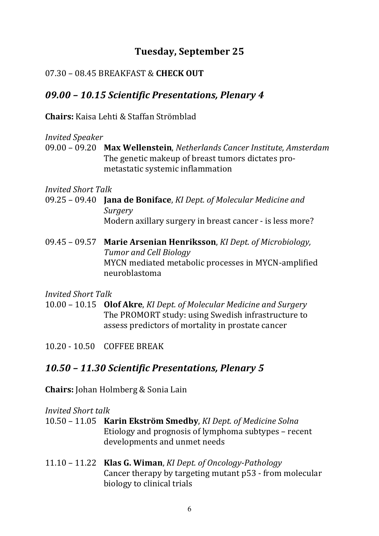## **Tuesday, September 25**

#### 07.30 – 08.45 BREAKFAST & **CHECK OUT**

## *09.00 – 10.15 Scientific Presentations, Plenary 4*

**Chairs:** Kaisa Lehti & Staffan Strömblad

#### *Invited Speaker*

09.00 – 09.20 **Max Wellenstein**, *Netherlands Cancer Institute, Amsterdam* The genetic makeup of breast tumors dictates prometastatic systemic inflammation

*Invited Short Talk*

- 09.25 09.40 **Jana de Boniface**, *KI Dept. of Molecular Medicine and Surgery*  Modern axillary surgery in breast cancer - is less more?
- 09.45 09.57 Marie Arsenian Henriksson, *KI Dept. of Microbiology*, **Tumor** and Cell Biology MYCN mediated metabolic processes in MYCN-amplified neuroblastoma

*Invited Short Talk*

- 10.00 10.15 **Olof Akre**, *KI Dept. of Molecular Medicine and Surgery* The PROMORT study: using Swedish infrastructure to assess predictors of mortality in prostate cancer
- 10.20 - 10.50 COFFEE BREAK

## *10.50 – 11.30 Scientific Presentations, Plenary 5*

**Chairs:** Johan Holmberg & Sonia Lain

#### *Invited Short talk*

- 10.50 11.05 **Karin Ekström Smedby**, *KI Dept. of Medicine Solna* Etiology and prognosis of lymphoma subtypes – recent developments and unmet needs
- 11.10 – 11.22 **Klas G. Wiman**, *KI Dept. of Oncology-Pathology* Cancer therapy by targeting mutant p53 - from molecular biology to clinical trials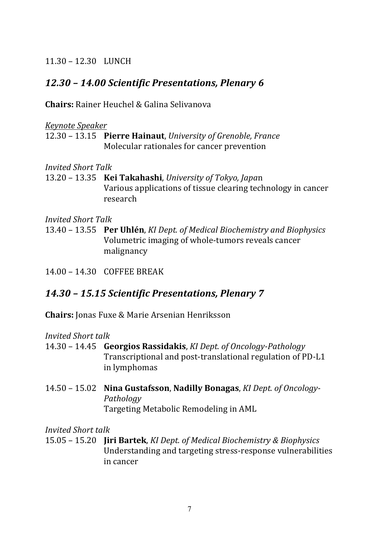11.30 – 12.30 LUNCH

## *12.30 – 14.00 Scientific Presentations, Plenary 6*

**Chairs:** Rainer Heuchel & Galina Selivanova

*Keynote Speaker*

12.30 - 13.15 **Pierre Hainaut**, *University of Grenoble, France* Molecular rationales for cancer prevention

*Invited Short Talk*

13.20 – 13.35 **Kei Takahashi**, *University of Tokyo, Japa*n Various applications of tissue clearing technology in cancer research

*Invited Short Talk*

13.40 – 13.55 **Per Uhlén**, *KI Dept. of Medical Biochemistry and Biophysics* Volumetric imaging of whole-tumors reveals cancer malignancy

14.00 – 14.30 COFFEE BREAK

#### *14.30 – 15.15 Scientific Presentations, Plenary 7*

**Chairs:** Jonas Fuxe & Marie Arsenian Henriksson

*Invited Short talk*

- 14.30 – 14.45 **Georgios Rassidakis**, *KI Dept. of Oncology-Pathology* Transcriptional and post-translational regulation of PD-L1 in lymphomas
- 14.50 15.02 Nina Gustafsson, Nadilly Bonagas, *KI Dept. of Oncology-Pathology* Targeting Metabolic Remodeling in AML

*Invited Short talk*

15.05 – 15.20 **Jiri Bartek**, *KI Dept. of Medical Biochemistry & Biophysics* Understanding and targeting stress-response vulnerabilities in cancer